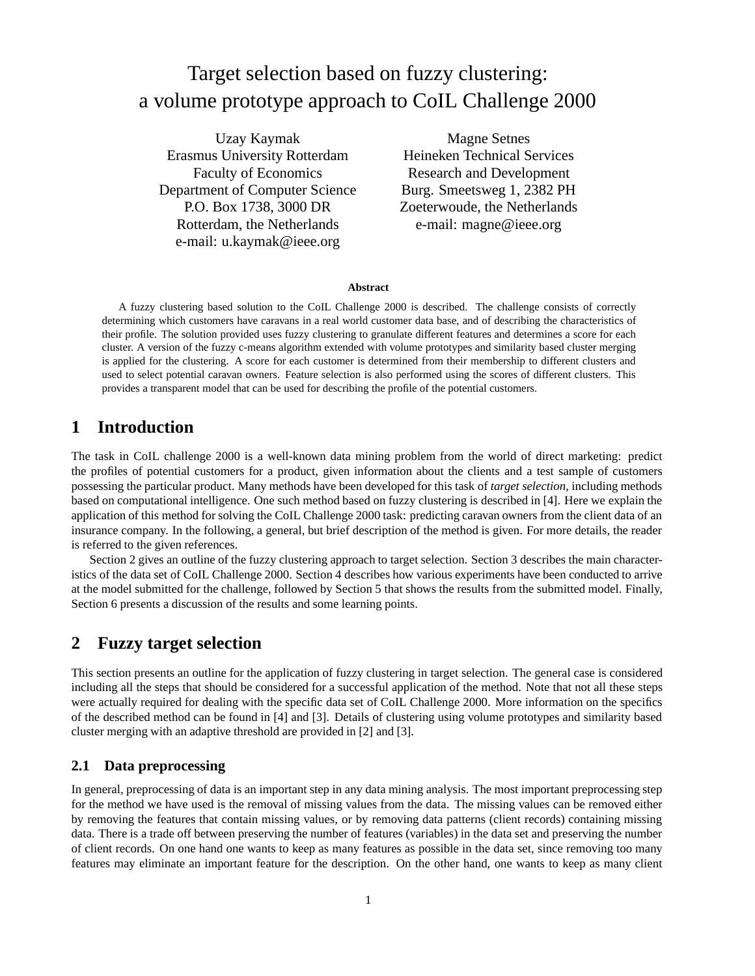# Target selection based on fuzzy clustering: a volume prototype approach to CoIL Challenge 2000

Uzay Kaymak Erasmus University Rotterdam Faculty of Economics Department of Computer Science P.O. Box 1738, 3000 DR Rotterdam, the Netherlands e-mail: u.kaymak@ieee.org

Magne Setnes Heineken Technical Services Research and Development Burg. Smeetsweg 1, 2382 PH Zoeterwoude, the Netherlands e-mail: magne@ieee.org

#### **Abstract**

A fuzzy clustering based solution to the CoIL Challenge 2000 is described. The challenge consists of correctly determining which customers have caravans in a real world customer data base, and of describing the characteristics of their profile. The solution provided uses fuzzy clustering to granulate different features and determines a score for each cluster. A version of the fuzzy c-means algorithm extended with volume prototypes and similarity based cluster merging is applied for the clustering. A score for each customer is determined from their membership to different clusters and used to select potential caravan owners. Feature selection is also performed using the scores of different clusters. This provides a transparent model that can be used for describing the profile of the potential customers.

## **1 Introduction**

The task in CoIL challenge 2000 is a well-known data mining problem from the world of direct marketing: predict the profiles of potential customers for a product, given information about the clients and a test sample of customers possessing the particular product. Many methods have been developed for this task of *target selection*, including methods based on computational intelligence. One such method based on fuzzy clustering is described in [4]. Here we explain the application of this method for solving the CoIL Challenge 2000 task: predicting caravan owners from the client data of an insurance company. In the following, a general, but brief description of the method is given. For more details, the reader is referred to the given references.

Section 2 gives an outline of the fuzzy clustering approach to target selection. Section 3 describes the main characteristics of the data set of CoIL Challenge 2000. Section 4 describes how various experiments have been conducted to arrive at the model submitted for the challenge, followed by Section 5 that shows the results from the submitted model. Finally, Section 6 presents a discussion of the results and some learning points.

## **2 Fuzzy target selection**

This section presents an outline for the application of fuzzy clustering in target selection. The general case is considered including all the steps that should be considered for a successful application of the method. Note that not all these steps were actually required for dealing with the specific data set of CoIL Challenge 2000. More information on the specifics of the described method can be found in [4] and [3]. Details of clustering using volume prototypes and similarity based cluster merging with an adaptive threshold are provided in [2] and [3].

#### **2.1 Data preprocessing**

In general, preprocessing of data is an important step in any data mining analysis. The most important preprocessing step for the method we have used is the removal of missing values from the data. The missing values can be removed either by removing the features that contain missing values, or by removing data patterns (client records) containing missing data. There is a trade off between preserving the number of features (variables) in the data set and preserving the number of client records. On one hand one wants to keep as many features as possible in the data set, since removing too many features may eliminate an important feature for the description. On the other hand, one wants to keep as many client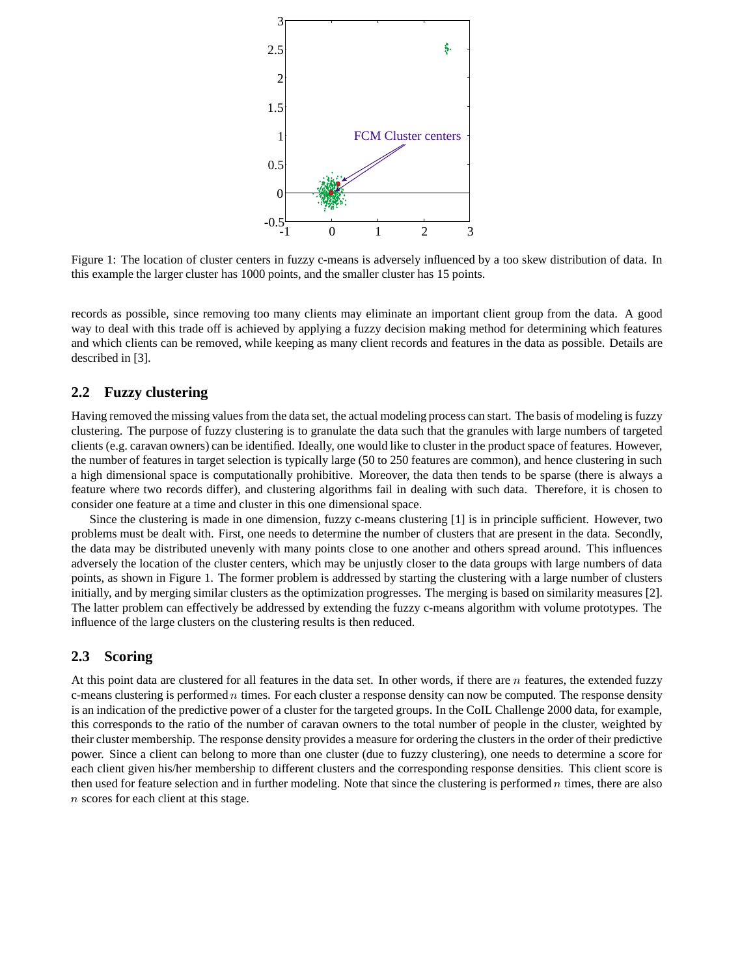

Figure 1: The location of cluster centers in fuzzy c-means is adversely influenced by a too skew distribution of data. In this example the larger cluster has 1000 points, and the smaller cluster has 15 points.

records as possible, since removing too many clients may eliminate an important client group from the data. A good way to deal with this trade off is achieved by applying a fuzzy decision making method for determining which features and which clients can be removed, while keeping as many client records and features in the data as possible. Details are described in [3].

#### **2.2 Fuzzy clustering**

Having removed the missing values from the data set, the actual modeling process can start. The basis of modeling is fuzzy clustering. The purpose of fuzzy clustering is to granulate the data such that the granules with large numbers of targeted clients (e.g. caravan owners) can be identified. Ideally, one would like to cluster in the product space of features. However, the number of features in target selection is typically large (50 to 250 features are common), and hence clustering in such a high dimensional space is computationally prohibitive. Moreover, the data then tends to be sparse (there is always a feature where two records differ), and clustering algorithms fail in dealing with such data. Therefore, it is chosen to consider one feature at a time and cluster in this one dimensional space.

Since the clustering is made in one dimension, fuzzy c-means clustering [1] is in principle sufficient. However, two problems must be dealt with. First, one needs to determine the number of clusters that are present in the data. Secondly, the data may be distributed unevenly with many points close to one another and others spread around. This influences adversely the location of the cluster centers, which may be unjustly closer to the data groups with large numbers of data points, as shown in Figure 1. The former problem is addressed by starting the clustering with a large number of clusters initially, and by merging similar clusters as the optimization progresses. The merging is based on similarity measures [2]. The latter problem can effectively be addressed by extending the fuzzy c-means algorithm with volume prototypes. The influence of the large clusters on the clustering results is then reduced.

#### **2.3 Scoring**

At this point data are clustered for all features in the data set. In other words, if there are  $n$  features, the extended fuzzy c-means clustering is performed  $n$  times. For each cluster a response density can now be computed. The response density is an indication of the predictive power of a cluster for the targeted groups. In the CoIL Challenge 2000 data, for example, this corresponds to the ratio of the number of caravan owners to the total number of people in the cluster, weighted by their cluster membership. The response density provides a measure for ordering the clusters in the order of their predictive power. Since a client can belong to more than one cluster (due to fuzzy clustering), one needs to determine a score for each client given his/her membership to different clusters and the corresponding response densities. This client score is then used for feature selection and in further modeling. Note that since the clustering is performed  $n$  times, there are also <sup>n</sup> scores for each client at this stage.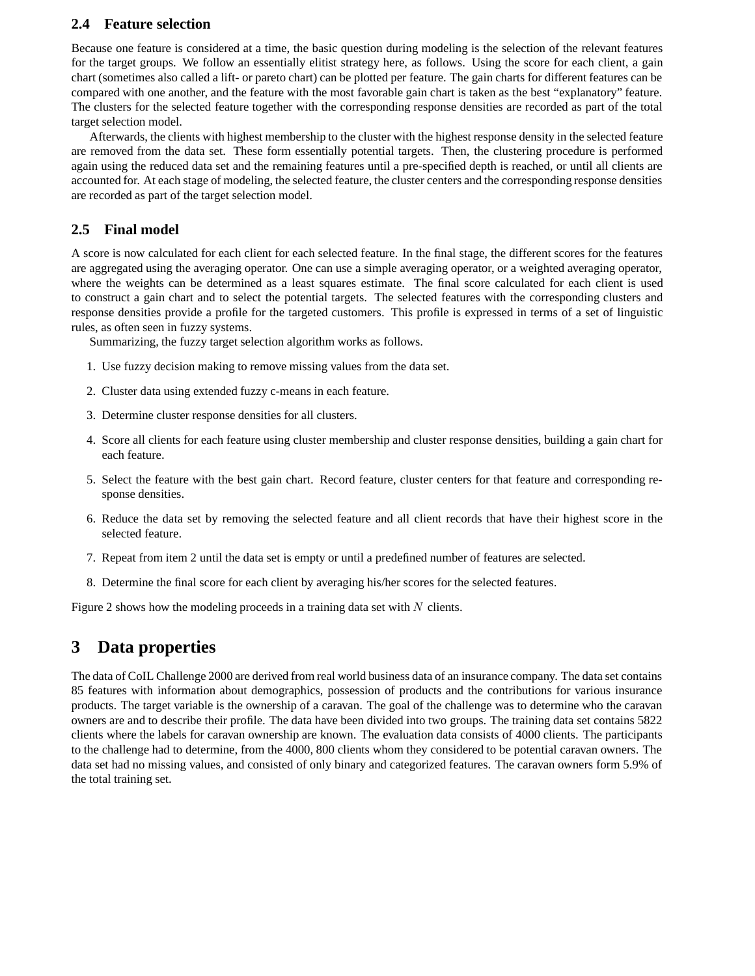#### **2.4 Feature selection**

Because one feature is considered at a time, the basic question during modeling is the selection of the relevant features for the target groups. We follow an essentially elitist strategy here, as follows. Using the score for each client, a gain chart (sometimes also called a lift- or pareto chart) can be plotted per feature. The gain charts for different features can be compared with one another, and the feature with the most favorable gain chart is taken as the best "explanatory" feature. The clusters for the selected feature together with the corresponding response densities are recorded as part of the total target selection model.

Afterwards, the clients with highest membership to the cluster with the highest response density in the selected feature are removed from the data set. These form essentially potential targets. Then, the clustering procedure is performed again using the reduced data set and the remaining features until a pre-specified depth is reached, or until all clients are accounted for. At each stage of modeling, the selected feature, the cluster centers and the corresponding response densities are recorded as part of the target selection model.

### **2.5 Final model**

A score is now calculated for each client for each selected feature. In the final stage, the different scores for the features are aggregated using the averaging operator. One can use a simple averaging operator, or a weighted averaging operator, where the weights can be determined as a least squares estimate. The final score calculated for each client is used to construct a gain chart and to select the potential targets. The selected features with the corresponding clusters and response densities provide a profile for the targeted customers. This profile is expressed in terms of a set of linguistic rules, as often seen in fuzzy systems.

Summarizing, the fuzzy target selection algorithm works as follows.

- 1. Use fuzzy decision making to remove missing values from the data set.
- 2. Cluster data using extended fuzzy c-means in each feature.
- 3. Determine cluster response densities for all clusters.
- 4. Score all clients for each feature using cluster membership and cluster response densities, building a gain chart for each feature.
- 5. Select the feature with the best gain chart. Record feature, cluster centers for that feature and corresponding response densities.
- 6. Reduce the data set by removing the selected feature and all client records that have their highest score in the selected feature.
- 7. Repeat from item 2 until the data set is empty or until a predefined number of features are selected.
- 8. Determine the final score for each client by averaging his/her scores for the selected features.

Figure 2 shows how the modeling proceeds in a training data set with  $N$  clients.

## **3 Data properties**

The data of CoIL Challenge 2000 are derived from real world business data of an insurance company. The data set contains 85 features with information about demographics, possession of products and the contributions for various insurance products. The target variable is the ownership of a caravan. The goal of the challenge was to determine who the caravan owners are and to describe their profile. The data have been divided into two groups. The training data set contains 5822 clients where the labels for caravan ownership are known. The evaluation data consists of 4000 clients. The participants to the challenge had to determine, from the 4000, 800 clients whom they considered to be potential caravan owners. The data set had no missing values, and consisted of only binary and categorized features. The caravan owners form 5.9% of the total training set.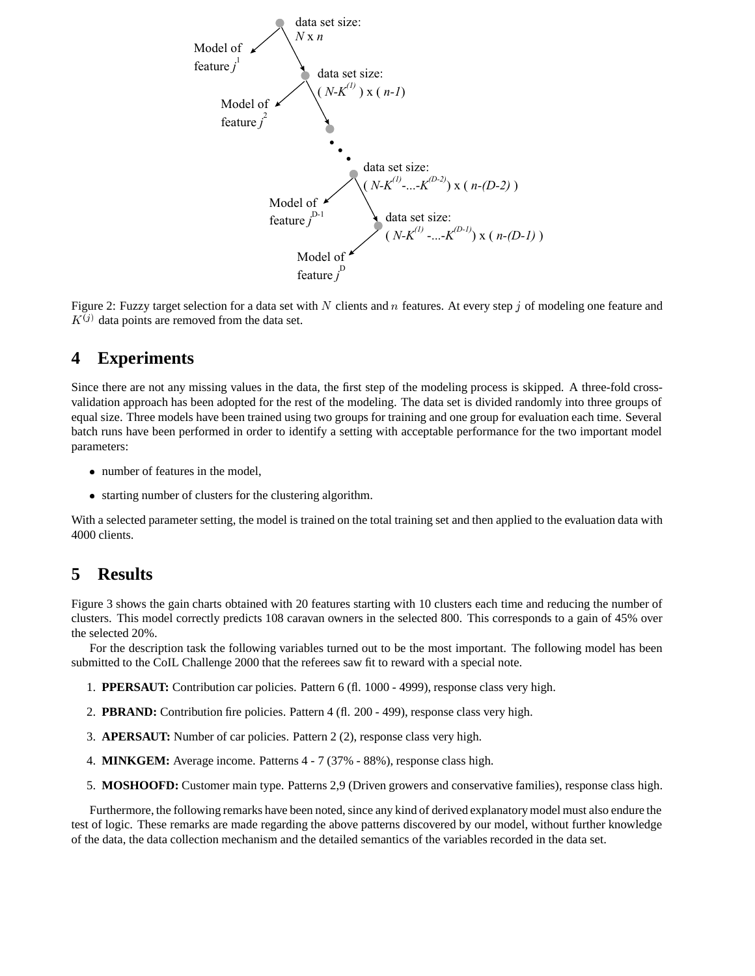

Figure 2: Fuzzy target selection for a data set with N clients and n features. At every step j of modeling one feature and  $K^{(j)}$  data points are removed from the data set.

## **4 Experiments**

Since there are not any missing values in the data, the first step of the modeling process is skipped. A three-fold crossvalidation approach has been adopted for the rest of the modeling. The data set is divided randomly into three groups of equal size. Three models have been trained using two groups for training and one group for evaluation each time. Several batch runs have been performed in order to identify a setting with acceptable performance for the two important model parameters:

- number of features in the model,
- starting number of clusters for the clustering algorithm.

With a selected parameter setting, the model is trained on the total training set and then applied to the evaluation data with 4000 clients.

## **5 Results**

Figure 3 shows the gain charts obtained with 20 features starting with 10 clusters each time and reducing the number of clusters. This model correctly predicts 108 caravan owners in the selected 800. This corresponds to a gain of 45% over the selected 20%.

For the description task the following variables turned out to be the most important. The following model has been submitted to the CoIL Challenge 2000 that the referees saw fit to reward with a special note.

- 1. **PPERSAUT:** Contribution car policies. Pattern 6 (fl. 1000 4999), response class very high.
- 2. **PBRAND:** Contribution fire policies. Pattern 4 (fl. 200 499), response class very high.
- 3. **APERSAUT:** Number of car policies. Pattern 2 (2), response class very high.
- 4. **MINKGEM:** Average income. Patterns 4 7 (37% 88%), response class high.
- 5. **MOSHOOFD:** Customer main type. Patterns 2,9 (Driven growers and conservative families), response class high.

Furthermore, the following remarks have been noted, since any kind of derived explanatory model must also endure the test of logic. These remarks are made regarding the above patterns discovered by our model, without further knowledge of the data, the data collection mechanism and the detailed semantics of the variables recorded in the data set.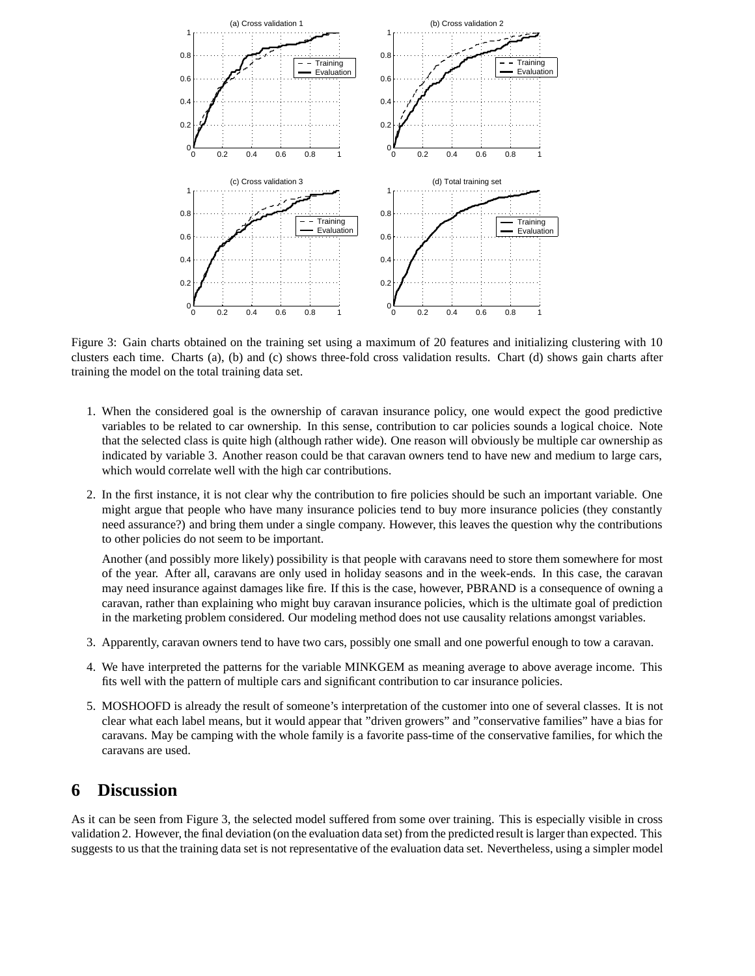

Figure 3: Gain charts obtained on the training set using a maximum of 20 features and initializing clustering with 10 clusters each time. Charts (a), (b) and (c) shows three-fold cross validation results. Chart (d) shows gain charts after training the model on the total training data set.

- 1. When the considered goal is the ownership of caravan insurance policy, one would expect the good predictive variables to be related to car ownership. In this sense, contribution to car policies sounds a logical choice. Note that the selected class is quite high (although rather wide). One reason will obviously be multiple car ownership as indicated by variable 3. Another reason could be that caravan owners tend to have new and medium to large cars, which would correlate well with the high car contributions.
- 2. In the first instance, it is not clear why the contribution to fire policies should be such an important variable. One might argue that people who have many insurance policies tend to buy more insurance policies (they constantly need assurance?) and bring them under a single company. However, this leaves the question why the contributions to other policies do not seem to be important.

Another (and possibly more likely) possibility is that people with caravans need to store them somewhere for most of the year. After all, caravans are only used in holiday seasons and in the week-ends. In this case, the caravan may need insurance against damages like fire. If this is the case, however, PBRAND is a consequence of owning a caravan, rather than explaining who might buy caravan insurance policies, which is the ultimate goal of prediction in the marketing problem considered. Our modeling method does not use causality relations amongst variables.

- 3. Apparently, caravan owners tend to have two cars, possibly one small and one powerful enough to tow a caravan.
- 4. We have interpreted the patterns for the variable MINKGEM as meaning average to above average income. This fits well with the pattern of multiple cars and significant contribution to car insurance policies.
- 5. MOSHOOFD is already the result of someone's interpretation of the customer into one of several classes. It is not clear what each label means, but it would appear that "driven growers" and "conservative families" have a bias for caravans. May be camping with the whole family is a favorite pass-time of the conservative families, for which the caravans are used.

### **6 Discussion**

As it can be seen from Figure 3, the selected model suffered from some over training. This is especially visible in cross validation 2. However, the final deviation (on the evaluation data set) from the predicted result is larger than expected. This suggests to us that the training data set is not representative of the evaluation data set. Nevertheless, using a simpler model